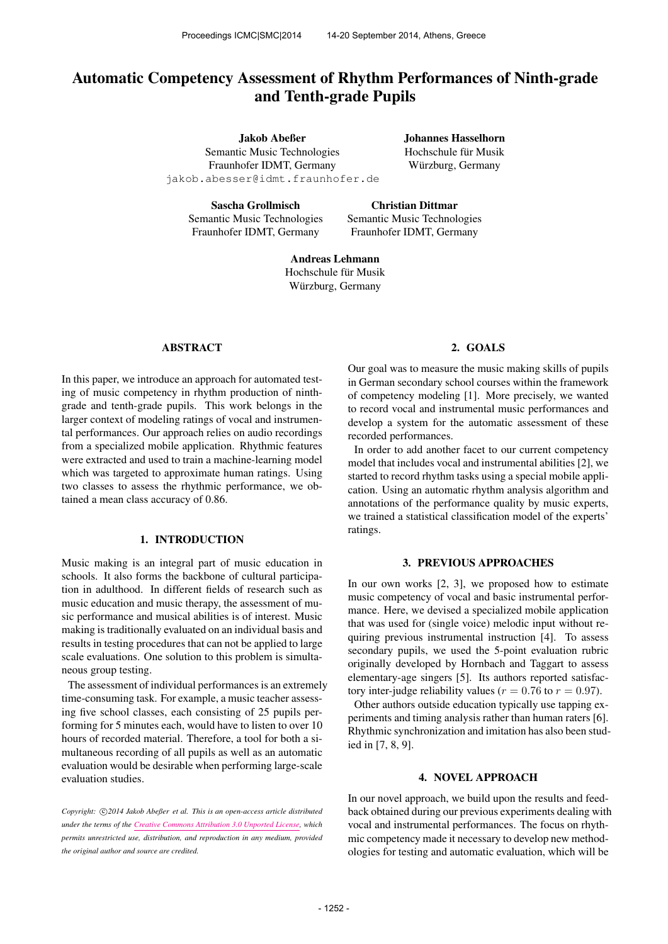# Automatic Competency Assessment of Rhythm Performances of Ninth-grade and Tenth-grade Pupils

Jakob Abeßer Semantic Music Technologies Fraunhofer IDMT, Germany [jakob.abesser@idmt.fraunhofer.de](mailto:jakob.abesser@idmt.fraunhofer.de) Johannes Hasselhorn Hochschule für Musik Würzburg, Germany

Sascha Grollmisch Semantic Music Technologies Fraunhofer IDMT, Germany

Christian Dittmar Semantic Music Technologies Fraunhofer IDMT, Germany

Andreas Lehmann Hochschule für Musik Würzburg, Germany

# ABSTRACT

In this paper, we introduce an approach for automated testing of music competency in rhythm production of ninthgrade and tenth-grade pupils. This work belongs in the larger context of modeling ratings of vocal and instrumental performances. Our approach relies on audio recordings from a specialized mobile application. Rhythmic features were extracted and used to train a machine-learning model which was targeted to approximate human ratings. Using two classes to assess the rhythmic performance, we obtained a mean class accuracy of 0.86.

# 1. INTRODUCTION

Music making is an integral part of music education in schools. It also forms the backbone of cultural participation in adulthood. In different fields of research such as music education and music therapy, the assessment of music performance and musical abilities is of interest. Music making is traditionally evaluated on an individual basis and results in testing procedures that can not be applied to large scale evaluations. One solution to this problem is simultaneous group testing.

The assessment of individual performances is an extremely time-consuming task. For example, a music teacher assessing five school classes, each consisting of 25 pupils performing for 5 minutes each, would have to listen to over 10 hours of recorded material. Therefore, a tool for both a simultaneous recording of all pupils as well as an automatic evaluation would be desirable when performing large-scale evaluation studies.

Copyright:  $\bigcirc$ 2014 Jakob Abeßer et al. This is an open-access article distributed *under the terms of the [Creative Commons Attribution 3.0 Unported License,](http://creativecommons.org/licenses/by/3.0/) which permits unrestricted use, distribution, and reproduction in any medium, provided the original author and source are credited.*

#### 2. GOALS

Our goal was to measure the music making skills of pupils in German secondary school courses within the framework of competency modeling [1]. More precisely, we wanted to record vocal and instrumental music performances and develop a system for the automatic assessment of these recorded performances.

In order to add another facet to our current competency model that includes vocal and instrumental abilities [2], we started to record rhythm tasks using a special mobile application. Using an automatic rhythm analysis algorithm and annotations of the performance quality by music experts, we trained a statistical classification model of the experts' ratings.

#### 3. PREVIOUS APPROACHES

In our own works [2, 3], we proposed how to estimate music competency of vocal and basic instrumental performance. Here, we devised a specialized mobile application that was used for (single voice) melodic input without requiring previous instrumental instruction [4]. To assess secondary pupils, we used the 5-point evaluation rubric originally developed by Hornbach and Taggart to assess elementary-age singers [5]. Its authors reported satisfactory inter-judge reliability values ( $r = 0.76$  to  $r = 0.97$ ).

Other authors outside education typically use tapping experiments and timing analysis rather than human raters [6]. Rhythmic synchronization and imitation has also been studied in [7, 8, 9].

#### 4. NOVEL APPROACH

In our novel approach, we build upon the results and feedback obtained during our previous experiments dealing with vocal and instrumental performances. The focus on rhythmic competency made it necessary to develop new methodologies for testing and automatic evaluation, which will be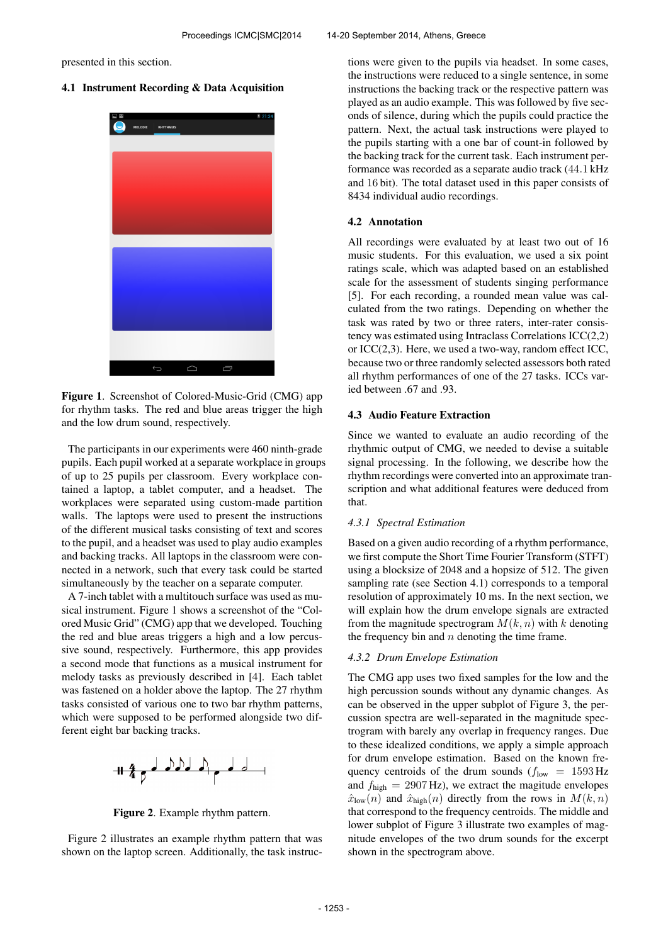presented in this section.

# 4.1 Instrument Recording & Data Acquisition



Figure 1. Screenshot of Colored-Music-Grid (CMG) app for rhythm tasks. The red and blue areas trigger the high and the low drum sound, respectively.

The participants in our experiments were 460 ninth-grade pupils. Each pupil worked at a separate workplace in groups of up to 25 pupils per classroom. Every workplace contained a laptop, a tablet computer, and a headset. The workplaces were separated using custom-made partition walls. The laptops were used to present the instructions of the different musical tasks consisting of text and scores to the pupil, and a headset was used to play audio examples and backing tracks. All laptops in the classroom were connected in a network, such that every task could be started simultaneously by the teacher on a separate computer.

A 7-inch tablet with a multitouch surface was used as musical instrument. Figure 1 shows a screenshot of the "Colored Music Grid" (CMG) app that we developed. Touching the red and blue areas triggers a high and a low percussive sound, respectively. Furthermore, this app provides a second mode that functions as a musical instrument for melody tasks as previously described in [4]. Each tablet was fastened on a holder above the laptop. The 27 rhythm tasks consisted of various one to two bar rhythm patterns, which were supposed to be performed alongside two different eight bar backing tracks.



Figure 2. Example rhythm pattern.

Figure 2 illustrates an example rhythm pattern that was shown on the laptop screen. Additionally, the task instructions were given to the pupils via headset. In some cases, the instructions were reduced to a single sentence, in some instructions the backing track or the respective pattern was played as an audio example. This was followed by five seconds of silence, during which the pupils could practice the pattern. Next, the actual task instructions were played to the pupils starting with a one bar of count-in followed by the backing track for the current task. Each instrument performance was recorded as a separate audio track (44.1 kHz and 16 bit). The total dataset used in this paper consists of 8434 individual audio recordings.

### 4.2 Annotation

All recordings were evaluated by at least two out of 16 music students. For this evaluation, we used a six point ratings scale, which was adapted based on an established scale for the assessment of students singing performance [5]. For each recording, a rounded mean value was calculated from the two ratings. Depending on whether the task was rated by two or three raters, inter-rater consistency was estimated using Intraclass Correlations ICC(2,2) or ICC(2,3). Here, we used a two-way, random effect ICC, because two or three randomly selected assessors both rated all rhythm performances of one of the 27 tasks. ICCs varied between .67 and .93.

## 4.3 Audio Feature Extraction

Since we wanted to evaluate an audio recording of the rhythmic output of CMG, we needed to devise a suitable signal processing. In the following, we describe how the rhythm recordings were converted into an approximate transcription and what additional features were deduced from that.

# *4.3.1 Spectral Estimation*

Based on a given audio recording of a rhythm performance, we first compute the Short Time Fourier Transform (STFT) using a blocksize of 2048 and a hopsize of 512. The given sampling rate (see Section 4.1) corresponds to a temporal resolution of approximately 10 ms. In the next section, we will explain how the drum envelope signals are extracted from the magnitude spectrogram  $M(k, n)$  with k denoting the frequency bin and  $n$  denoting the time frame.

# *4.3.2 Drum Envelope Estimation*

The CMG app uses two fixed samples for the low and the high percussion sounds without any dynamic changes. As can be observed in the upper subplot of Figure 3, the percussion spectra are well-separated in the magnitude spectrogram with barely any overlap in frequency ranges. Due to these idealized conditions, we apply a simple approach for drum envelope estimation. Based on the known frequency centroids of the drum sounds  $(f_{low} = 1593 \text{ Hz})$ and  $f_{\text{high}} = 2907 \text{ Hz}$ , we extract the magitude envelopes  $\hat{x}_{\text{low}}(n)$  and  $\hat{x}_{\text{high}}(n)$  directly from the rows in  $M(k, n)$ that correspond to the frequency centroids. The middle and lower subplot of Figure 3 illustrate two examples of magnitude envelopes of the two drum sounds for the excerpt shown in the spectrogram above.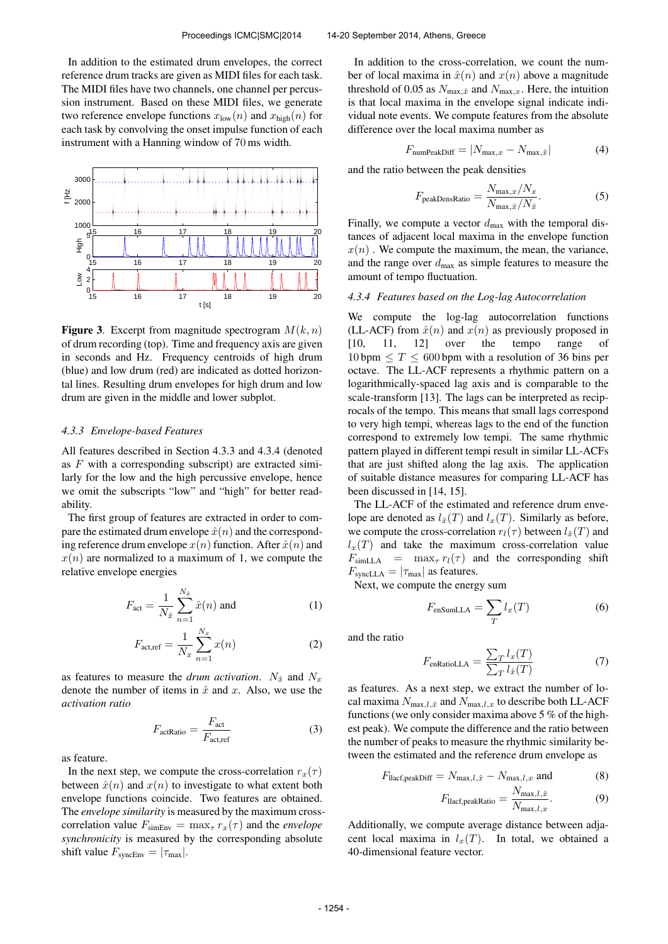In addition to the estimated drum envelopes, the correct reference drum tracks are given as MIDI files for each task. The MIDI files have two channels, one channel per percussion instrument. Based on these MIDI files, we generate two reference envelope functions  $x_{\text{low}}(n)$  and  $x_{\text{high}}(n)$  for each task by convolving the onset impulse function of each instrument with a Hanning window of 70 ms width.



**Figure 3.** Excerpt from magnitude spectrogram  $M(k, n)$ of drum recording (top). Time and frequency axis are given in seconds and Hz. Frequency centroids of high drum (blue) and low drum (red) are indicated as dotted horizontal lines. Resulting drum envelopes for high drum and low drum are given in the middle and lower subplot.

#### *4.3.3 Envelope-based Features*

All features described in Section 4.3.3 and 4.3.4 (denoted as  $F$  with a corresponding subscript) are extracted similarly for the low and the high percussive envelope, hence we omit the subscripts "low" and "high" for better readability.

The first group of features are extracted in order to compare the estimated drum envelope  $\hat{x}(n)$  and the corresponding reference drum envelope  $x(n)$  function. After  $\hat{x}(n)$  and  $x(n)$  are normalized to a maximum of 1, we compute the relative envelope energies

$$
F_{\text{act}} = \frac{1}{N_{\hat{x}}} \sum_{n=1}^{N_{\hat{x}}} \hat{x}(n) \text{ and } \tag{1}
$$

$$
F_{\text{act,ref}} = \frac{1}{N_x} \sum_{n=1}^{N_x} x(n) \tag{2}
$$

as features to measure the *drum activation*.  $N_{\hat{x}}$  and  $N_x$ denote the number of items in  $\hat{x}$  and x. Also, we use the *activation ratio*

$$
F_{\text{actRatio}} = \frac{F_{\text{act}}}{F_{\text{act,ref}}}
$$
 (3)

as feature.

In the next step, we compute the cross-correlation  $r_x(\tau)$ between  $\hat{x}(n)$  and  $x(n)$  to investigate to what extent both envelope functions coincide. Two features are obtained. The *envelope similarity* is measured by the maximum crosscorrelation value  $F_{\text{simEnv}} = \max_{\tau} r_x(\tau)$  and the *envelope synchronicity* is measured by the corresponding absolute shift value  $F_{\text{syncEnv}} = |\tau_{\text{max}}|$ .

In addition to the cross-correlation, we count the number of local maxima in  $\hat{x}(n)$  and  $x(n)$  above a magnitude threshold of 0.05 as  $N_{\text{max},\hat{x}}$  and  $N_{\text{max},x}$ . Here, the intuition is that local maxima in the envelope signal indicate individual note events. We compute features from the absolute difference over the local maxima number as

$$
F_{\text{numPeakDiff}} = |N_{\text{max},x} - N_{\text{max},\hat{x}}| \tag{4}
$$

and the ratio between the peak densities

$$
F_{\text{peakDensRatio}} = \frac{N_{\text{max},x}/N_x}{N_{\text{max},\hat{x}}/N_{\hat{x}}}.
$$
 (5)

Finally, we compute a vector  $d_{\text{max}}$  with the temporal distances of adjacent local maxima in the envelope function  $x(n)$ . We compute the maximum, the mean, the variance, and the range over  $d_{\text{max}}$  as simple features to measure the amount of tempo fluctuation.

#### *4.3.4 Features based on the Log-lag Autocorrelation*

We compute the log-lag autocorrelation functions (LL-ACF) from  $\hat{x}(n)$  and  $x(n)$  as previously proposed in [10, 11, 12] over the tempo range of  $10 \text{ bpm} \leq T \leq 600 \text{ bpm}$  with a resolution of 36 bins per octave. The LL-ACF represents a rhythmic pattern on a logarithmically-spaced lag axis and is comparable to the scale-transform [13]. The lags can be interpreted as reciprocals of the tempo. This means that small lags correspond to very high tempi, whereas lags to the end of the function correspond to extremely low tempi. The same rhythmic pattern played in different tempi result in similar LL-ACFs that are just shifted along the lag axis. The application of suitable distance measures for comparing LL-ACF has been discussed in [14, 15].

The LL-ACF of the estimated and reference drum envelope are denoted as  $l_{\hat{x}}(T)$  and  $l_{x}(T)$ . Similarly as before, we compute the cross-correlation  $r_l(\tau)$  between  $l_{\hat{\tau}}(T)$  and  $l_x(T)$  and take the maximum cross-correlation value  $F_{simLLA}$  =  $max_{\tau} r_l(\tau)$  and the corresponding shift  $F_{\text{synclLA}} = |\tau_{\text{max}}|$  as features.

Next, we compute the energy sum

$$
F_{\text{enSumLLA}} = \sum_{T} l_x(T) \tag{6}
$$

and the ratio

$$
F_{\text{enRatioLLA}} = \frac{\sum_{T} l_x(T)}{\sum_{T} l_{\hat{x}}(T)} \tag{7}
$$

as features. As a next step, we extract the number of local maxima  $N_{\text{max},l,\hat{x}}$  and  $N_{\text{max},l,x}$  to describe both LL-ACF functions (we only consider maxima above 5 % of the highest peak). We compute the difference and the ratio between the number of peaks to measure the rhythmic similarity between the estimated and the reference drum envelope as

$$
F_{\text{llacf},\text{peakDiff}} = N_{\text{max},l,\hat{x}} - N_{\text{max},l,x} \text{ and } (8)
$$

$$
F_{\text{lacf,peakRatio}} = \frac{N_{\text{max},l,\hat{x}}}{N_{\text{max},l,x}}.
$$
 (9)

Additionally, we compute average distance between adjacent local maxima in  $l_x(T)$ . In total, we obtained a 40-dimensional feature vector.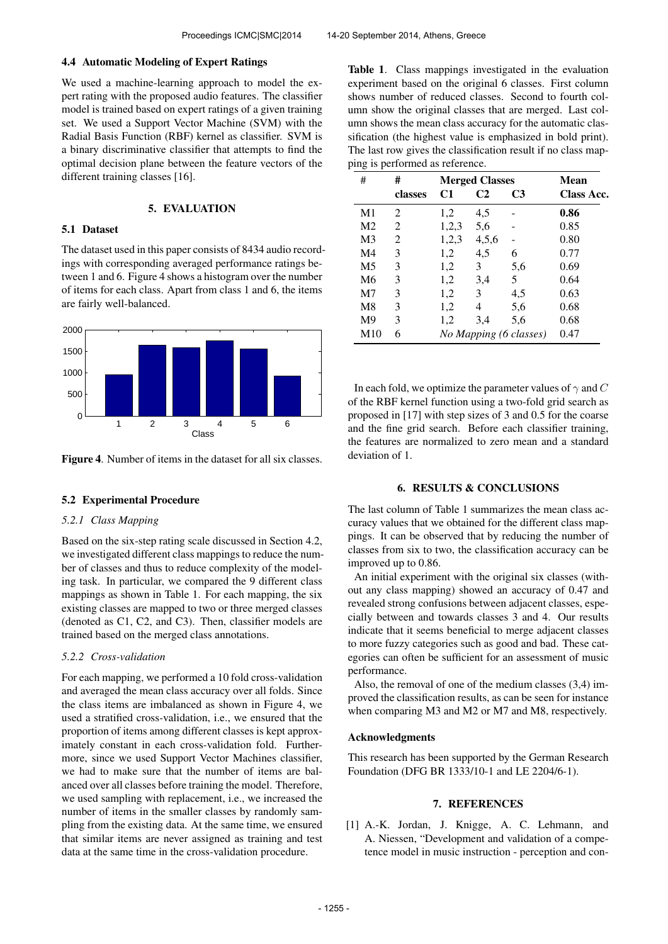#### 4.4 Automatic Modeling of Expert Ratings

We used a machine-learning approach to model the expert rating with the proposed audio features. The classifier model is trained based on expert ratings of a given training set. We used a Support Vector Machine (SVM) with the Radial Basis Function (RBF) kernel as classifier. SVM is a binary discriminative classifier that attempts to find the optimal decision plane between the feature vectors of the different training classes [16].

#### 5. EVALUATION

#### 5.1 Dataset

The dataset used in this paper consists of 8434 audio recordings with corresponding averaged performance ratings between 1 and 6. Figure 4 shows a histogram over the number of items for each class. Apart from class 1 and 6, the items are fairly well-balanced.



Figure 4. Number of items in the dataset for all six classes.

#### 5.2 Experimental Procedure

# *5.2.1 Class Mapping*

Based on the six-step rating scale discussed in Section 4.2, we investigated different class mappings to reduce the number of classes and thus to reduce complexity of the modeling task. In particular, we compared the 9 different class mappings as shown in Table 1. For each mapping, the six existing classes are mapped to two or three merged classes (denoted as C1, C2, and C3). Then, classifier models are trained based on the merged class annotations.

# *5.2.2 Cross-validation*

For each mapping, we performed a 10 fold cross-validation and averaged the mean class accuracy over all folds. Since the class items are imbalanced as shown in Figure 4, we used a stratified cross-validation, i.e., we ensured that the proportion of items among different classes is kept approximately constant in each cross-validation fold. Furthermore, since we used Support Vector Machines classifier, we had to make sure that the number of items are balanced over all classes before training the model. Therefore, we used sampling with replacement, i.e., we increased the number of items in the smaller classes by randomly sampling from the existing data. At the same time, we ensured that similar items are never assigned as training and test data at the same time in the cross-validation procedure.

Table 1. Class mappings investigated in the evaluation experiment based on the original 6 classes. First column shows number of reduced classes. Second to fourth column show the original classes that are merged. Last column shows the mean class accuracy for the automatic classification (the highest value is emphasized in bold print). The last row gives the classification result if no class mapping is performed as reference.

| #              | #                           | <b>Merged Classes</b> |       |                        | Mean       |
|----------------|-----------------------------|-----------------------|-------|------------------------|------------|
|                | classes                     | C1                    | C2    | C <sub>3</sub>         | Class Acc. |
| M <sub>1</sub> | $\mathcal{D}_{\mathcal{L}}$ | 1,2                   | 4,5   |                        | 0.86       |
| M <sub>2</sub> | 2                           | 1,2,3                 | 5,6   |                        | 0.85       |
| M <sub>3</sub> | 2                           | 1,2,3                 | 4,5,6 |                        | 0.80       |
| M <sub>4</sub> | 3                           | 1,2                   | 4,5   | 6                      | 0.77       |
| M5             | 3                           | 1,2                   | 3     | 5,6                    | 0.69       |
| M6             | 3                           | 1,2                   | 3,4   | 5.                     | 0.64       |
| M7             | 3                           | 1,2                   | 3     | 4,5                    | 0.63       |
| M8             | 3                           | 1,2                   | 4     | 5,6                    | 0.68       |
| M <sup>9</sup> | 3                           | 1,2                   | 3,4   | 5,6                    | 0.68       |
| M10            | 6                           |                       |       | No Mapping (6 classes) | 0.47       |

In each fold, we optimize the parameter values of  $\gamma$  and C of the RBF kernel function using a two-fold grid search as proposed in [17] with step sizes of 3 and 0.5 for the coarse and the fine grid search. Before each classifier training, the features are normalized to zero mean and a standard deviation of 1.

# 6. RESULTS & CONCLUSIONS

The last column of Table 1 summarizes the mean class accuracy values that we obtained for the different class mappings. It can be observed that by reducing the number of classes from six to two, the classification accuracy can be improved up to 0.86.

An initial experiment with the original six classes (without any class mapping) showed an accuracy of 0.47 and revealed strong confusions between adjacent classes, especially between and towards classes 3 and 4. Our results indicate that it seems beneficial to merge adjacent classes to more fuzzy categories such as good and bad. These categories can often be sufficient for an assessment of music performance.

Also, the removal of one of the medium classes (3,4) improved the classification results, as can be seen for instance when comparing M3 and M2 or M7 and M8, respectively.

#### Acknowledgments

This research has been supported by the German Research Foundation (DFG BR 1333/10-1 and LE 2204/6-1).

# 7. REFERENCES

[1] A.-K. Jordan, J. Knigge, A. C. Lehmann, and A. Niessen, "Development and validation of a competence model in music instruction - perception and con